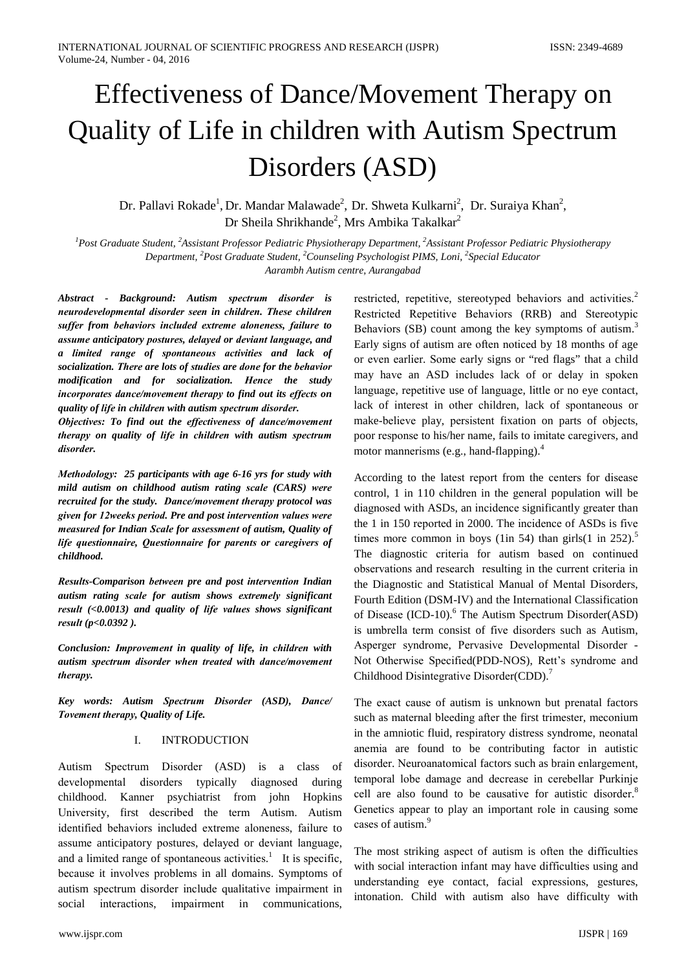# Effectiveness of Dance/Movement Therapy on Quality of Life in children with Autism Spectrum Disorders (ASD)

Dr. Pallavi Rokade<sup>1</sup>, Dr. Mandar Malawade<sup>2</sup>, Dr. Shweta Kulkarni<sup>2</sup>, Dr. Suraiya Khan<sup>2</sup>, Dr Sheila Shrikhande<sup>2</sup>, Mrs Ambika Takalkar<sup>2</sup>

 ${}^{1}$ Post Graduate Student,  ${}^{2}$ Assistant Professor Pediatric Physiotherapy Department,  ${}^{2}$ Assistant Professor Pediatric Physiotherapy Department, <sup>2</sup>Post Graduate Student, <sup>2</sup>Counseling Psychologist PIMS, Loni, <sup>2</sup>Special Educator Aarambh Autism centre, Aurangabad

Abstract - Background: Autism spectrum disorder is neurodevelopmental disorder seen in children. These children suffer from behaviors included extreme aloneness, failure to assume anticipatory postures, delayed or deviant language, and a limited range of spontaneous activities and lack of socialization. There are lots of studies are done for the behavior modification and for socialization. Hence the study incorporates dance/movement therapy to find out its effects on quality of life in children with autism spectrum disorder.

Objectives: To find out the effectiveness of dance/movement therapy on quality of life in children with autism spectrum disorder.

Methodology: 25 participants with age 6-16 yrs for study with mild autism on childhood autism rating scale (CARS) were recruited for the study. Dance/movement therapy protocol was given for 12weeks period. Pre and post intervention values were measured for Indian Scale for assessment of autism, Quality of life questionnaire, Questionnaire for parents or caregivers of childhood.

Results-Comparison between pre and post intervention Indian autism rating scale for autism shows extremely significant result (<0.0013) and quality of life values shows significant result ( $p < 0.0392$ ).

Conclusion: Improvement in quality of life, in children with autism spectrum disorder when treated with dance/movement therapy.

Key words: Autism Spectrum Disorder (ASD), Dance/ Tovement therapy, Ouality of Life.

## **INTRODUCTION**  $\mathbf{I}$

Autism Spectrum Disorder (ASD) is a class of developmental disorders typically diagnosed during childhood. Kanner psychiatrist from john Hopkins University, first described the term Autism. Autism identified behaviors included extreme aloneness, failure to assume anticipatory postures, delayed or deviant language, and a limited range of spontaneous activities.<sup>1</sup> It is specific, because it involves problems in all domains. Symptoms of autism spectrum disorder include qualitative impairment in interactions, impairment in communications, social

restricted, repetitive, stereotyped behaviors and activities.<sup>2</sup> Restricted Repetitive Behaviors (RRB) and Stereotypic Behaviors (SB) count among the key symptoms of autism.<sup>3</sup> Early signs of autism are often noticed by 18 months of age or even earlier. Some early signs or "red flags" that a child may have an ASD includes lack of or delay in spoken language, repetitive use of language, little or no eye contact, lack of interest in other children, lack of spontaneous or make-believe play, persistent fixation on parts of objects, poor response to his/her name, fails to imitate caregivers, and motor mannerisms (e.g., hand-flapping).<sup>4</sup>

According to the latest report from the centers for disease control, 1 in 110 children in the general population will be diagnosed with ASDs, an incidence significantly greater than the 1 in 150 reported in 2000. The incidence of ASDs is five times more common in boys (1in 54) than girls  $(1 \text{ in } 252)$ .<sup>5</sup> The diagnostic criteria for autism based on continued observations and research resulting in the current criteria in the Diagnostic and Statistical Manual of Mental Disorders, Fourth Edition (DSM-IV) and the International Classification of Disease (ICD-10).<sup>6</sup> The Autism Spectrum Disorder(ASD) is umbrella term consist of five disorders such as Autism, Asperger syndrome, Pervasive Developmental Disorder -Not Otherwise Specified(PDD-NOS), Rett's syndrome and Childhood Disintegrative Disorder(CDD).<sup>7</sup>

The exact cause of autism is unknown but prenatal factors such as maternal bleeding after the first trimester, meconium in the amniotic fluid, respiratory distress syndrome, neonatal anemia are found to be contributing factor in autistic disorder. Neuroanatomical factors such as brain enlargement. temporal lobe damage and decrease in cerebellar Purkinie cell are also found to be causative for autistic disorder.<sup>8</sup> Genetics appear to play an important role in causing some cases of autism.<sup>9</sup>

The most striking aspect of autism is often the difficulties with social interaction infant may have difficulties using and understanding eye contact, facial expressions, gestures, intonation. Child with autism also have difficulty with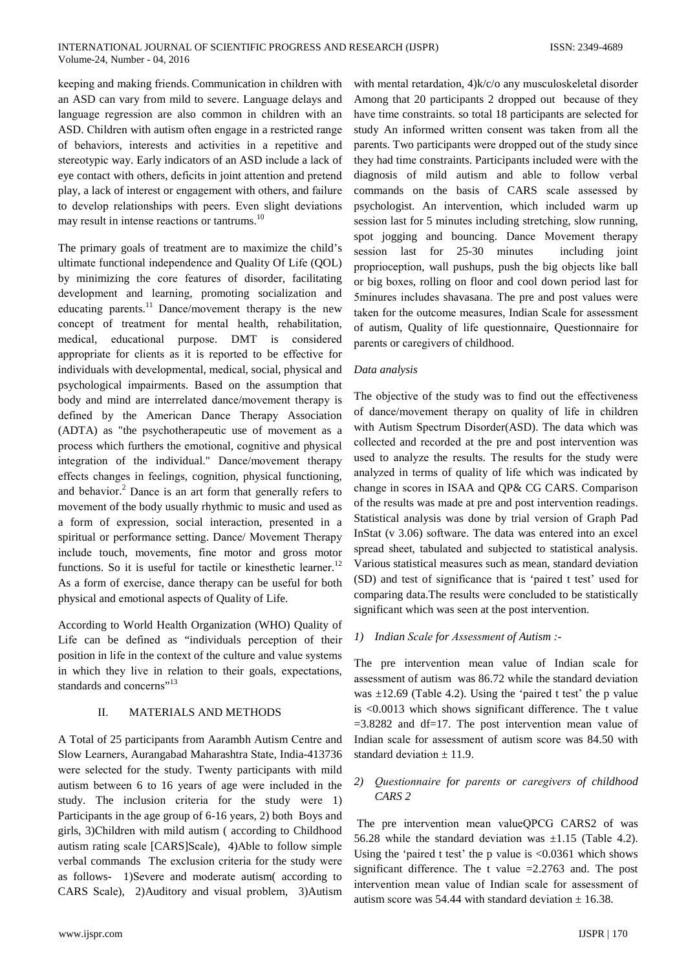keeping and making friends. Communication in children with an ASD can vary from mild to severe. Language delays and language regression are also common in children with an ASD. Children with autism often engage in a restricted range of behaviors, interests and activities in a repetitive and stereotypic way. Early indicators of an ASD include a lack of eye contact with others, deficits in joint attention and pretend play, a lack of interest or engagement with others, and failure to develop relationships with peers. Even slight deviations may result in intense reactions or tantrums.<sup>10</sup>

The primary goals of treatment are to maximize the child's ultimate functional independence and Quality Of Life (QOL) by minimizing the core features of disorder, facilitating development and learning, promoting socialization and educating parents.<sup>11</sup> Dance/movement therapy is the new concept of treatment for mental health, rehabilitation, medical. educational purpose. DMT is considered appropriate for clients as it is reported to be effective for individuals with developmental, medical, social, physical and psychological impairments. Based on the assumption that body and mind are interrelated dance/movement therapy is defined by the American Dance Therapy Association (ADTA) as "the psychotherapeutic use of movement as a process which furthers the emotional, cognitive and physical integration of the individual." Dance/movement therapy effects changes in feelings, cognition, physical functioning, and behavior.<sup>2</sup> Dance is an art form that generally refers to movement of the body usually rhythmic to music and used as a form of expression, social interaction, presented in a spiritual or performance setting. Dance/ Movement Therapy include touch, movements, fine motor and gross motor functions. So it is useful for tactile or kinesthetic learner.<sup>12</sup> As a form of exercise, dance therapy can be useful for both physical and emotional aspects of Quality of Life.

According to World Health Organization (WHO) Quality of Life can be defined as "individuals perception of their position in life in the context of the culture and value systems in which they live in relation to their goals, expectations, standards and concerns"<sup>13</sup>

## $\Pi$ MATERIALS AND METHODS

A Total of 25 participants from Aarambh Autism Centre and Slow Learners, Aurangabad Maharashtra State, India-413736 were selected for the study. Twenty participants with mild autism between 6 to 16 years of age were included in the study. The inclusion criteria for the study were 1) Participants in the age group of 6-16 years, 2) both Boys and girls, 3)Children with mild autism (according to Childhood autism rating scale [CARS]Scale), 4)Able to follow simple verbal commands The exclusion criteria for the study were as follows- 1)Severe and moderate autism according to CARS Scale), 2)Auditory and visual problem, 3)Autism

with mental retardation, 4)k/c/o any musculoskeletal disorder Among that 20 participants 2 dropped out because of they have time constraints. so total 18 participants are selected for study An informed written consent was taken from all the parents. Two participants were dropped out of the study since they had time constraints. Participants included were with the diagnosis of mild autism and able to follow verbal commands on the basis of CARS scale assessed by psychologist. An intervention, which included warm up session last for 5 minutes including stretching, slow running, spot jogging and bouncing. Dance Movement therapy session last for 25-30 minutes including joint proprioception, wall pushups, push the big objects like ball or big boxes, rolling on floor and cool down period last for 5 minures includes shavasana. The pre and post values were taken for the outcome measures, Indian Scale for assessment of autism, Quality of life questionnaire, Questionnaire for parents or caregivers of childhood.

## Data analysis

The objective of the study was to find out the effectiveness of dance/movement therapy on quality of life in children with Autism Spectrum Disorder (ASD). The data which was collected and recorded at the pre and post intervention was used to analyze the results. The results for the study were analyzed in terms of quality of life which was indicated by change in scores in ISAA and QP& CG CARS. Comparison of the results was made at pre and post intervention readings. Statistical analysis was done by trial version of Graph Pad InStat (v 3.06) software. The data was entered into an excel spread sheet, tabulated and subjected to statistical analysis. Various statistical measures such as mean, standard deviation (SD) and test of significance that is 'paired t test' used for comparing data. The results were concluded to be statistically significant which was seen at the post intervention.

## 1) Indian Scale for Assessment of Autism :-

The pre intervention mean value of Indian scale for assessment of autism was 86.72 while the standard deviation was  $\pm 12.69$  (Table 4.2). Using the 'paired t test' the p value is  $< 0.0013$  which shows significant difference. The t value  $=3.8282$  and df=17. The post intervention mean value of Indian scale for assessment of autism score was 84.50 with standard deviation  $\pm$  11.9.

# 2) Questionnaire for parents or caregivers of childhood CARS<sub>2</sub>

The pre intervention mean valueQPCG CARS2 of was 56.28 while the standard deviation was  $\pm 1.15$  (Table 4.2). Using the 'paired t test' the p value is  $\langle 0.0361 \rangle$  which shows significant difference. The t value  $=2.2763$  and. The post intervention mean value of Indian scale for assessment of autism score was 54.44 with standard deviation  $\pm$  16.38.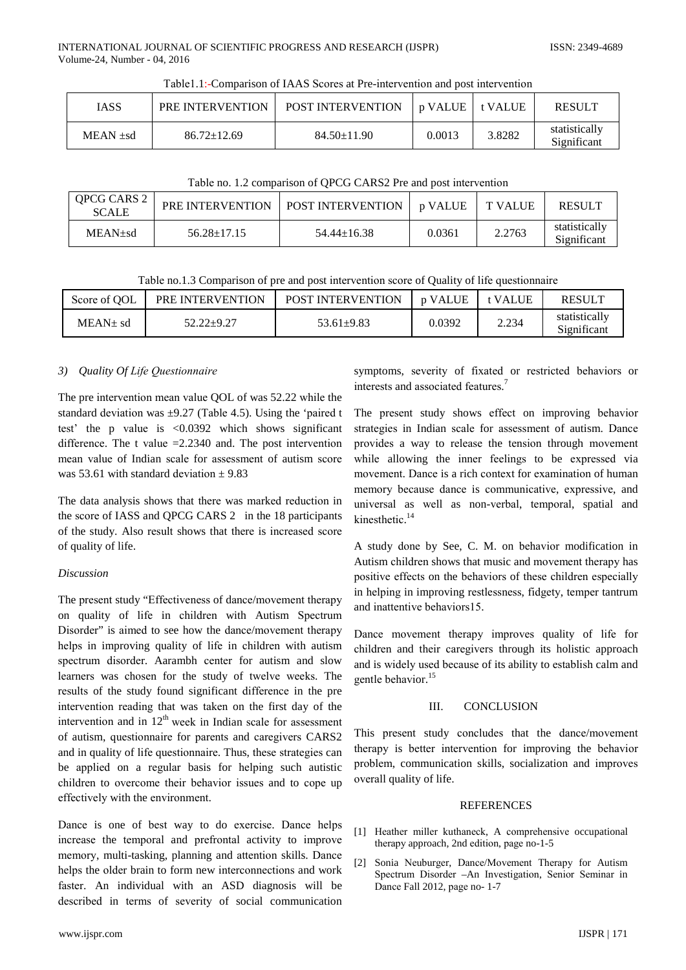| <b>IASS</b> | PRE INTERVENTION  | <b>POST INTERVENTION</b> | n VALUE | $\pm$ VALUE | <b>RESULT</b>                |
|-------------|-------------------|--------------------------|---------|-------------|------------------------------|
| $MEAN + sd$ | $86.72 \pm 12.69$ | $84.50 \pm 11.90$        | 0.0013  | 3.8282      | statistically<br>Significant |

Table 1.1:-Comparison of IAAS Scores at Pre-intervention and post intervention

| Table no. 1.2 comparison of QPCG CARS2 Pre and post intervention |
|------------------------------------------------------------------|
|------------------------------------------------------------------|

| <b>QPCG CARS 2</b><br><b>SCALE</b> | PRE INTERVENTION  | POST INTERVENTION | l p VALUE | T VALUE | <b>RESULT</b>                |
|------------------------------------|-------------------|-------------------|-----------|---------|------------------------------|
| $MEAN + sd$                        | $56.28 \pm 17.15$ | $54.44 \pm 16.38$ | 0.0361    | 2.2763  | statistically<br>Significant |

Table no.1.3 Comparison of pre and post intervention score of Quality of life questionnaire

| Score of OOL  | PRE INTERVENTION | <b>POST INTERVENTION</b> | n VALUE | <b>VALUE</b> | <b>RESULT</b>                |
|---------------|------------------|--------------------------|---------|--------------|------------------------------|
| $MEAN \pm sd$ | 52.22+9.27       | $53.61 \pm 9.83$         | 0.0392  | 2.234        | statistically<br>Significant |

## Quality Of Life Questionnaire  $3)$

The pre intervention mean value OOL of was 52.22 while the standard deviation was  $\pm$ 9.27 (Table 4.5). Using the 'paired t test' the p value is  $\langle 0.0392 \rangle$  which shows significant difference. The t value  $=2.2340$  and. The post intervention mean value of Indian scale for assessment of autism score was 53.61 with standard deviation  $\pm$  9.83

The data analysis shows that there was marked reduction in the score of IASS and QPCG CARS 2 in the 18 participants of the study. Also result shows that there is increased score of quality of life.

# **Discussion**

The present study "Effectiveness of dance/movement therapy on quality of life in children with Autism Spectrum Disorder" is aimed to see how the dance/movement therapy helps in improving quality of life in children with autism spectrum disorder. Aarambh center for autism and slow learners was chosen for the study of twelve weeks. The results of the study found significant difference in the pre intervention reading that was taken on the first day of the intervention and in  $12<sup>th</sup>$  week in Indian scale for assessment of autism, questionnaire for parents and caregivers CARS2 and in quality of life questionnaire. Thus, these strategies can be applied on a regular basis for helping such autistic children to overcome their behavior issues and to cope up effectively with the environment.

Dance is one of best way to do exercise. Dance helps increase the temporal and prefrontal activity to improve memory, multi-tasking, planning and attention skills. Dance helps the older brain to form new interconnections and work faster. An individual with an ASD diagnosis will be described in terms of severity of social communication symptoms, severity of fixated or restricted behaviors or interests and associated features.<sup>7</sup>

The present study shows effect on improving behavior strategies in Indian scale for assessment of autism. Dance provides a way to release the tension through movement while allowing the inner feelings to be expressed via movement. Dance is a rich context for examination of human memory because dance is communicative, expressive, and universal as well as non-verbal, temporal, spatial and kinesthetic. $14$ 

A study done by See, C. M. on behavior modification in Autism children shows that music and movement therapy has positive effects on the behaviors of these children especially in helping in improving restlessness, fidgety, temper tantrum and inattentive behaviors15.

Dance movement therapy improves quality of life for children and their caregivers through its holistic approach and is widely used because of its ability to establish calm and gentle behavior.<sup>15</sup>

## $III$ **CONCLUSION**

This present study concludes that the dance/movement therapy is better intervention for improving the behavior problem, communication skills, socialization and improves overall quality of life.

## **REFERENCES**

- [1] Heather miller kuthaneck, A comprehensive occupational therapy approach, 2nd edition, page no-1-5
- $[2]$ Sonia Neuburger, Dance/Movement Therapy for Autism Spectrum Disorder -An Investigation, Senior Seminar in Dance Fall 2012, page no- 1-7